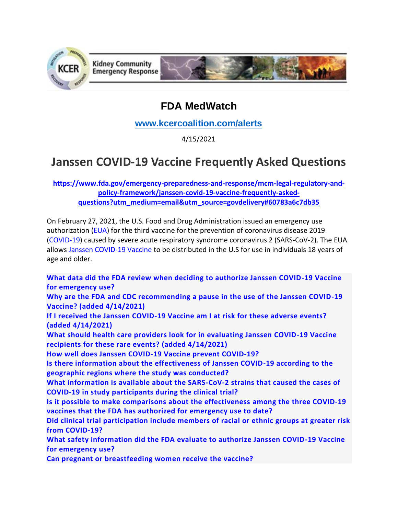

## **FDA MedWatch**

**[www.kcercoalition.com/alerts](http://www.kcercoalition.com/alerts)**

4/15/2021

## **Janssen COVID-19 Vaccine Frequently Asked Questions**

**[https://www.fda.gov/emergency-preparedness-and-response/mcm-legal-regulatory-and](https://www.fda.gov/emergency-preparedness-and-response/mcm-legal-regulatory-and-policy-framework/janssen-covid-19-vaccine-frequently-asked-questions?utm_medium=email&utm_source=govdelivery#60783a6c7db35)[policy-framework/janssen-covid-19-vaccine-frequently-asked](https://www.fda.gov/emergency-preparedness-and-response/mcm-legal-regulatory-and-policy-framework/janssen-covid-19-vaccine-frequently-asked-questions?utm_medium=email&utm_source=govdelivery#60783a6c7db35)[questions?utm\\_medium=email&utm\\_source=govdelivery#60783a6c7db35](https://www.fda.gov/emergency-preparedness-and-response/mcm-legal-regulatory-and-policy-framework/janssen-covid-19-vaccine-frequently-asked-questions?utm_medium=email&utm_source=govdelivery#60783a6c7db35)**

On February 27, 2021, the U.S. Food and Drug Administration issued an emergency use authorization [\(EUA\)](https://www.fda.gov/emergency-preparedness-and-response/mcm-legal-regulatory-and-policy-framework/emergency-use-authorization) for the third vaccine for the prevention of coronavirus disease 2019 [\(COVID-19\)](https://www.fda.gov/emergency-preparedness-and-response/counterterrorism-and-emerging-threats/coronavirus-disease-2019-covid-19) caused by severe acute respiratory syndrome coronavirus 2 (SARS-CoV-2). The EUA allows [Janssen COVID-19 Vaccine](https://www.fda.gov/emergency-preparedness-and-response/coronavirus-disease-2019-covid-19/janssen-covid-19-vaccine) to be distributed in the U.S for use in individuals 18 years of age and older.

**[What data did the FDA review when deciding to authorize Janssen COVID-19 Vaccine](https://www.fda.gov/emergency-preparedness-and-response/mcm-legal-regulatory-and-policy-framework/janssen-covid-19-vaccine-frequently-asked-questions?utm_medium=email&utm_source=govdelivery#60783a6c7db35)  [for emergency use?](https://www.fda.gov/emergency-preparedness-and-response/mcm-legal-regulatory-and-policy-framework/janssen-covid-19-vaccine-frequently-asked-questions?utm_medium=email&utm_source=govdelivery#60783a6c7db35)**

**[Why are the FDA and CDC recommending a pause in the use of the Janssen COVID-19](https://www.fda.gov/emergency-preparedness-and-response/mcm-legal-regulatory-and-policy-framework/janssen-covid-19-vaccine-frequently-asked-questions?utm_medium=email&utm_source=govdelivery#60783a6c7dcad)  [Vaccine? \(added 4/14/2021\)](https://www.fda.gov/emergency-preparedness-and-response/mcm-legal-regulatory-and-policy-framework/janssen-covid-19-vaccine-frequently-asked-questions?utm_medium=email&utm_source=govdelivery#60783a6c7dcad)**

**[If I received the Janssen COVID-19 Vaccine am I at risk for these adverse events?](https://www.fda.gov/emergency-preparedness-and-response/mcm-legal-regulatory-and-policy-framework/janssen-covid-19-vaccine-frequently-asked-questions?utm_medium=email&utm_source=govdelivery#60783a6c7dd4f)  [\(added 4/14/2021\)](https://www.fda.gov/emergency-preparedness-and-response/mcm-legal-regulatory-and-policy-framework/janssen-covid-19-vaccine-frequently-asked-questions?utm_medium=email&utm_source=govdelivery#60783a6c7dd4f)**

**[What should health care providers look for in evaluating Janssen COVID-19 Vaccine](https://www.fda.gov/emergency-preparedness-and-response/mcm-legal-regulatory-and-policy-framework/janssen-covid-19-vaccine-frequently-asked-questions?utm_medium=email&utm_source=govdelivery#60783a6c7ddcb)  [recipients for these rare events? \(added 4/14/2021\)](https://www.fda.gov/emergency-preparedness-and-response/mcm-legal-regulatory-and-policy-framework/janssen-covid-19-vaccine-frequently-asked-questions?utm_medium=email&utm_source=govdelivery#60783a6c7ddcb)**

**[How well does Janssen COVID-19 Vaccine prevent COVID-19?](https://www.fda.gov/emergency-preparedness-and-response/mcm-legal-regulatory-and-policy-framework/janssen-covid-19-vaccine-frequently-asked-questions?utm_medium=email&utm_source=govdelivery#60783a6c7de40)**

**[Is there information about the effectiveness of Janssen COVID-19 according to the](https://www.fda.gov/emergency-preparedness-and-response/mcm-legal-regulatory-and-policy-framework/janssen-covid-19-vaccine-frequently-asked-questions?utm_medium=email&utm_source=govdelivery#60783a6c7deb1)  [geographic regions where the study was conducted?](https://www.fda.gov/emergency-preparedness-and-response/mcm-legal-regulatory-and-policy-framework/janssen-covid-19-vaccine-frequently-asked-questions?utm_medium=email&utm_source=govdelivery#60783a6c7deb1)**

**[What information is available about the SARS-CoV-2 strains that caused the cases of](https://www.fda.gov/emergency-preparedness-and-response/mcm-legal-regulatory-and-policy-framework/janssen-covid-19-vaccine-frequently-asked-questions?utm_medium=email&utm_source=govdelivery#60783a6c7df21)  [COVID-19 in study participants during the clinical trial?](https://www.fda.gov/emergency-preparedness-and-response/mcm-legal-regulatory-and-policy-framework/janssen-covid-19-vaccine-frequently-asked-questions?utm_medium=email&utm_source=govdelivery#60783a6c7df21)**

**[Is it possible to make comparisons about the effectiveness among the three COVID-19](https://www.fda.gov/emergency-preparedness-and-response/mcm-legal-regulatory-and-policy-framework/janssen-covid-19-vaccine-frequently-asked-questions?utm_medium=email&utm_source=govdelivery#60783a6c7dfd8)  [vaccines that the FDA has authorized for emergency use to date?](https://www.fda.gov/emergency-preparedness-and-response/mcm-legal-regulatory-and-policy-framework/janssen-covid-19-vaccine-frequently-asked-questions?utm_medium=email&utm_source=govdelivery#60783a6c7dfd8)**

**[Did clinical trial participation include members of racial or ethnic groups at greater risk](https://www.fda.gov/emergency-preparedness-and-response/mcm-legal-regulatory-and-policy-framework/janssen-covid-19-vaccine-frequently-asked-questions?utm_medium=email&utm_source=govdelivery#60783a6c7e06d)  [from COVID-19?](https://www.fda.gov/emergency-preparedness-and-response/mcm-legal-regulatory-and-policy-framework/janssen-covid-19-vaccine-frequently-asked-questions?utm_medium=email&utm_source=govdelivery#60783a6c7e06d)**

**[What safety information did the FDA evaluate to authorize Janssen COVID-19 Vaccine](https://www.fda.gov/emergency-preparedness-and-response/mcm-legal-regulatory-and-policy-framework/janssen-covid-19-vaccine-frequently-asked-questions?utm_medium=email&utm_source=govdelivery#60783a6c7e0e4)  [for emergency use?](https://www.fda.gov/emergency-preparedness-and-response/mcm-legal-regulatory-and-policy-framework/janssen-covid-19-vaccine-frequently-asked-questions?utm_medium=email&utm_source=govdelivery#60783a6c7e0e4)**

**[Can pregnant or breastfeeding women receive the vaccine?](https://www.fda.gov/emergency-preparedness-and-response/mcm-legal-regulatory-and-policy-framework/janssen-covid-19-vaccine-frequently-asked-questions?utm_medium=email&utm_source=govdelivery#60783a6c7e170)**